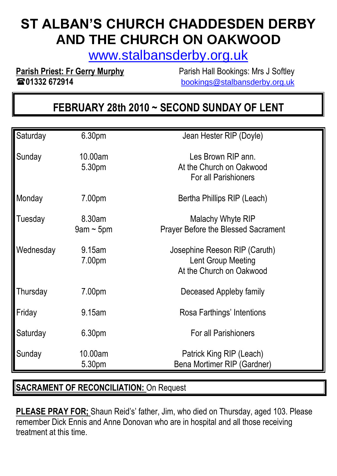# **ST ALBAN'S CHURCH CHADDESDEN DERBY AND THE CHURCH ON OAKWOOD**

[www.stalbansderby.org.uk](http://www.stalbansderby.org.uk/)

**Parish Priest: Fr Gerry Murphy** Parish Hall Bookings: Mrs J Softley **01332 672914** [bookings@stalbansderby.org.uk](mailto:bookings@stalbansderby.org.uk)

## **FEBRUARY 28th 2010 ~ SECOND SUNDAY OF LENT**

| Saturday  | 6.30pm                    | Jean Hester RIP (Doyle)                                                         |
|-----------|---------------------------|---------------------------------------------------------------------------------|
| Sunday    | 10.00am<br>5.30pm         | Les Brown RIP ann.<br>At the Church on Oakwood<br><b>For all Parishioners</b>   |
| Monday    | 7.00pm                    | Bertha Phillips RIP (Leach)                                                     |
| Tuesday   | 8.30am<br>$9$ am ~ $5$ pm | Malachy Whyte RIP<br><b>Prayer Before the Blessed Sacrament</b>                 |
| Wednesday | 9.15am<br>7.00pm          | Josephine Reeson RIP (Caruth)<br>Lent Group Meeting<br>At the Church on Oakwood |
| Thursday  | 7.00pm                    | Deceased Appleby family                                                         |
| Friday    | 9.15am                    | Rosa Farthings' Intentions                                                      |
| Saturday  | 6.30pm                    | <b>For all Parishioners</b>                                                     |
| Sunday    | 10.00am<br>5.30pm         | Patrick King RIP (Leach)<br>Bena Mortimer RIP (Gardner)                         |

#### **SACRAMENT OF RECONCILIATION:** On Request

**PLEASE PRAY FOR;** Shaun Reid's' father, Jim, who died on Thursday, aged 103. Please remember Dick Ennis and Anne Donovan who are in hospital and all those receiving treatment at this time.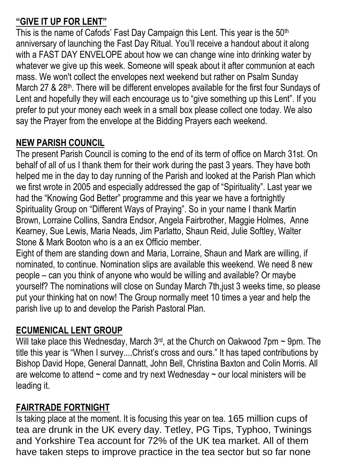## **"GIVE IT UP FOR LENT"**

This is the name of Cafods' Fast Day Campaign this Lent. This year is the 50<sup>th</sup> anniversary of launching the Fast Day Ritual. You'll receive a handout about it along with a FAST DAY ENVELOPE about how we can change wine into drinking water by whatever we give up this week. Someone will speak about it after communion at each mass. We won't collect the envelopes next weekend but rather on Psalm Sunday March 27 & 28<sup>th</sup>. There will be different envelopes available for the first four Sundays of Lent and hopefully they will each encourage us to "give something up this Lent". If you prefer to put your money each week in a small box please collect one today. We also say the Prayer from the envelope at the Bidding Prayers each weekend.

## **NEW PARISH COUNCIL**

The present Parish Council is coming to the end of its term of office on March 31st. On behalf of all of us I thank them for their work during the past 3 years. They have both helped me in the day to day running of the Parish and looked at the Parish Plan which we first wrote in 2005 and especially addressed the gap of "Spirituality". Last year we had the "Knowing God Better" programme and this year we have a fortnightly Spirituality Group on "Different Ways of Praying". So in your name I thank Martin Brown, Lorraine Collins, Sandra Endsor, Angela Fairbrother, Maggie Holmes, Anne Kearney, Sue Lewis, Maria Neads, Jim Parlatto, Shaun Reid, Julie Softley, Walter Stone & Mark Booton who is a an ex Officio member.

Eight of them are standing down and Maria, Lorraine, Shaun and Mark are willing, if nominated, to continue. Nomination slips are available this weekend. We need 8 new people – can you think of anyone who would be willing and available? Or maybe yourself? The nominations will close on Sunday March 7th,just 3 weeks time, so please put your thinking hat on now! The Group normally meet 10 times a year and help the parish live up to and develop the Parish Pastoral Plan.

## **ECUMENICAL LENT GROUP**

Will take place this Wednesday, March  $3^{rd}$ , at the Church on Oakwood 7pm  $\sim$  9pm. The title this year is "When I survey....Christ's cross and ours." It has taped contributions by Bishop David Hope, General Dannatt, John Bell, Christina Baxton and Colin Morris. All are welcome to attend  $\sim$  come and try next Wednesday  $\sim$  our local ministers will be leading it.

## **FAIRTRADE FORTNIGHT**

Is taking place at the moment. It is focusing this year on tea. 165 million cups of tea are drunk in the UK every day. Tetley, PG Tips, Typhoo, Twinings and Yorkshire Tea account for 72% of the UK tea market. All of them have taken steps to improve practice in the tea sector but so far none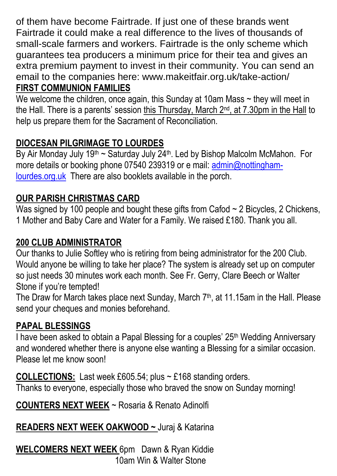of them have become Fairtrade. If just one of these brands went Fairtrade it could make a real difference to the lives of thousands of small-scale farmers and workers. Fairtrade is the only scheme which guarantees tea producers a minimum price for their tea and gives an extra premium payment to invest in their community. You can send an email to the companies here: www.makeitfair.org.uk/take-action/ **FIRST COMMUNION FAMILIES**

We welcome the children, once again, this Sunday at 10am Mass  $\sim$  they will meet in the Hall. There is a parents' session this Thursday, March 2nd, at 7.30pm in the Hall to help us prepare them for the Sacrament of Reconciliation.

## **DIOCESAN PILGRIMAGE TO LOURDES**

By Air Monday July 19<sup>th</sup> ~ Saturday July  $24$ <sup>th</sup>. Led by Bishop Malcolm McMahon. For more details or booking phone 07540 239319 or e mail: [admin@nottingham](mailto:admin@nottingham-lourdes.org.uk)[lourdes.org.uk](mailto:admin@nottingham-lourdes.org.uk) There are also booklets available in the porch.

## **OUR PARISH CHRISTMAS CARD**

Was signed by 100 people and bought these gifts from Cafod  $\sim$  2 Bicycles, 2 Chickens, 1 Mother and Baby Care and Water for a Family. We raised £180. Thank you all.

## **200 CLUB ADMINISTRATOR**

Our thanks to Julie Softley who is retiring from being administrator for the 200 Club. Would anyone be willing to take her place? The system is already set up on computer so just needs 30 minutes work each month. See Fr. Gerry, Clare Beech or Walter Stone if you're tempted!

The Draw for March takes place next Sunday, March 7<sup>th</sup>, at 11.15am in the Hall. Please send your cheques and monies beforehand.

#### **PAPAL BLESSINGS**

I have been asked to obtain a Papal Blessing for a couples' 25th Wedding Anniversary and wondered whether there is anyone else wanting a Blessing for a similar occasion. Please let me know soon!

**COLLECTIONS:** Last week £605.54; plus ~ £168 standing orders. Thanks to everyone, especially those who braved the snow on Sunday morning!

**COUNTERS NEXT WEEK** ~ Rosaria & Renato Adinolfi

## **READERS NEXT WEEK OAKWOOD ~** Juraj & Katarina

**WELCOMERS NEXT WEEK** 6pm Dawn & Ryan Kiddie 10am Win & Walter Stone